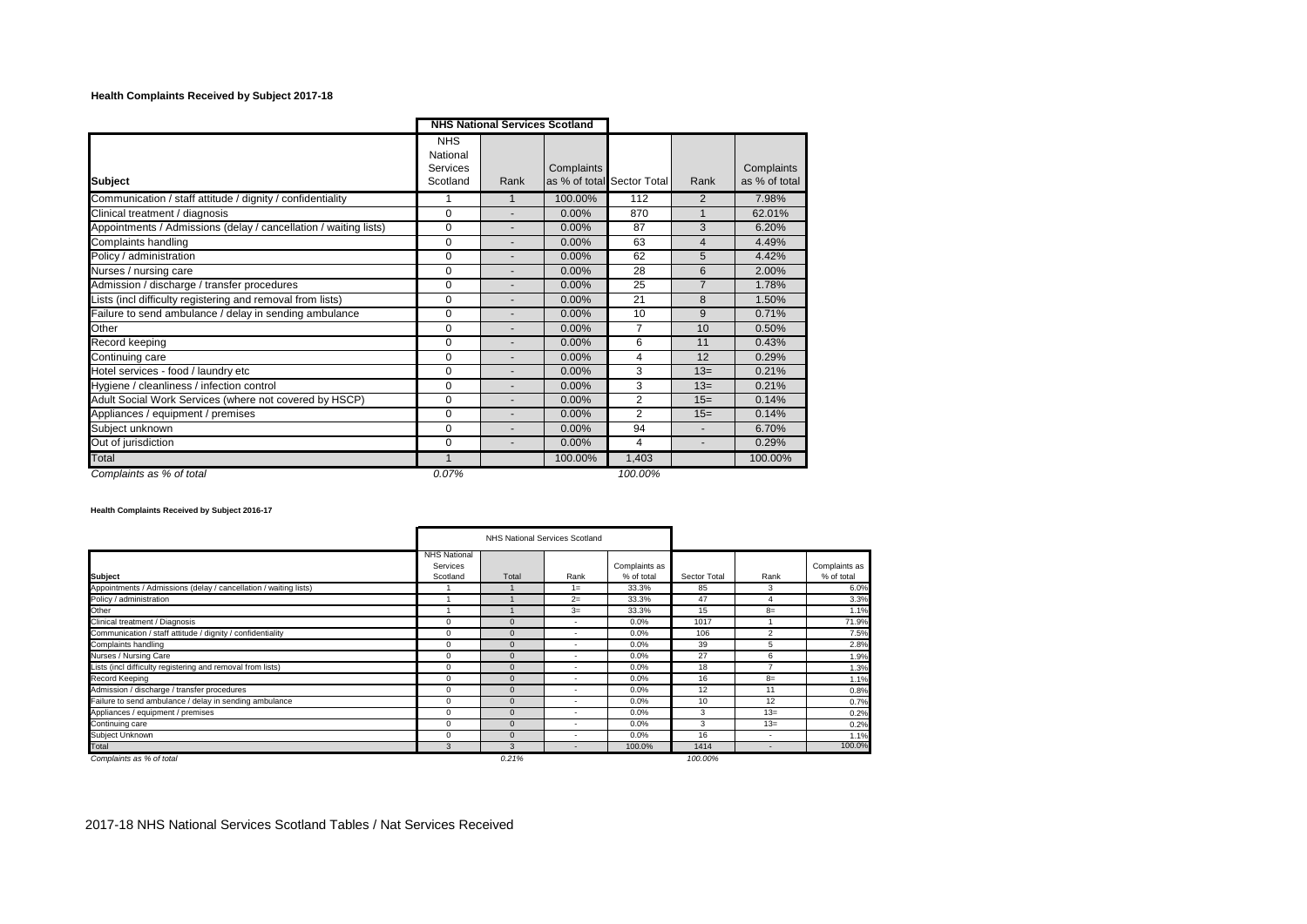## **Health Complaints Received by Subject 2017-18**

|                                                                  |                                                | <b>NHS National Services Scotland</b> |            |                            |                |                             |
|------------------------------------------------------------------|------------------------------------------------|---------------------------------------|------------|----------------------------|----------------|-----------------------------|
| <b>Subject</b>                                                   | <b>NHS</b><br>National<br>Services<br>Scotland | Rank                                  | Complaints | as % of total Sector Total | Rank           | Complaints<br>as % of total |
| Communication / staff attitude / dignity / confidentiality       |                                                |                                       | 100.00%    | 112                        | 2              | 7.98%                       |
| Clinical treatment / diagnosis                                   | $\Omega$                                       | $\overline{\phantom{a}}$              | 0.00%      | 870                        | $\mathbf{1}$   | 62.01%                      |
| Appointments / Admissions (delay / cancellation / waiting lists) | $\Omega$                                       |                                       | 0.00%      | 87                         | 3              | 6.20%                       |
| Complaints handling                                              | $\Omega$                                       |                                       | 0.00%      | 63                         | $\overline{4}$ | 4.49%                       |
| Policy / administration                                          | $\Omega$                                       | $\overline{a}$                        | 0.00%      | 62                         | 5              | 4.42%                       |
| Nurses / nursing care                                            | $\Omega$                                       |                                       | 0.00%      | 28                         | 6              | 2.00%                       |
| Admission / discharge / transfer procedures                      | $\Omega$                                       | $\overline{a}$                        | $0.00\%$   | 25                         | $\overline{7}$ | 1.78%                       |
| Lists (incl difficulty registering and removal from lists)       | 0                                              | $\overline{a}$                        | 0.00%      | 21                         | 8              | 1.50%                       |
| Failure to send ambulance / delay in sending ambulance           | $\Omega$                                       | $\overline{a}$                        | 0.00%      | 10                         | 9              | 0.71%                       |
| Other                                                            | $\Omega$                                       | $\overline{a}$                        | 0.00%      | $\overline{7}$             | 10             | 0.50%                       |
| Record keeping                                                   | $\Omega$                                       | $\overline{\phantom{a}}$              | 0.00%      | 6                          | 11             | 0.43%                       |
| Continuing care                                                  | $\Omega$                                       |                                       | 0.00%      | 4                          | 12             | 0.29%                       |
| Hotel services - food / laundry etc                              | $\Omega$                                       | $\overline{\phantom{a}}$              | 0.00%      | 3                          | $13=$          | 0.21%                       |
| Hygiene / cleanliness / infection control                        | 0                                              | $\blacksquare$                        | 0.00%      | 3                          | $13=$          | 0.21%                       |
| Adult Social Work Services (where not covered by HSCP)           | $\Omega$                                       | $\overline{\phantom{a}}$              | 0.00%      | $\overline{2}$             | $15=$          | 0.14%                       |
| Appliances / equipment / premises                                | 0                                              | $\overline{\phantom{a}}$              | 0.00%      | $\overline{2}$             | $15=$          | 0.14%                       |
| Subject unknown                                                  | 0                                              | $\blacksquare$                        | 0.00%      | 94                         |                | 6.70%                       |
| Out of jurisdiction                                              | $\mathbf 0$                                    | $\blacksquare$                        | 0.00%      | 4                          | ٠              | 0.29%                       |
| Total                                                            | 1                                              |                                       | 100.00%    | 1,403                      |                | 100.00%                     |
| Complaints as % of total                                         | 0.07%                                          |                                       |            | 100.00%                    |                |                             |

## **Health Complaints Received by Subject 2016-17**

|                                                                  |                                                    | NHS National Services Scotland |                          |                             |              |                         |                             |
|------------------------------------------------------------------|----------------------------------------------------|--------------------------------|--------------------------|-----------------------------|--------------|-------------------------|-----------------------------|
| <b>Subject</b>                                                   | <b>NHS National</b><br><b>Services</b><br>Scotland | Total                          | Rank                     | Complaints as<br>% of total | Sector Total | Rank                    | Complaints as<br>% of total |
| Appointments / Admissions (delay / cancellation / waiting lists) |                                                    |                                | $1 =$                    | 33.3%                       | 85           | 3                       | 6.0%                        |
| Policy / administration                                          |                                                    |                                | $2=$                     | 33.3%                       | 47           |                         | 3.3%                        |
| Other                                                            |                                                    |                                | $3=$                     | 33.3%                       | 15           | $8=$                    | 1.1%                        |
| Clinical treatment / Diagnosis                                   | 0                                                  | $\Omega$                       | $\sim$                   | 0.0%                        | 1017         |                         | 71.9%                       |
| Communication / staff attitude / dignity / confidentiality       | 0                                                  | $\mathbf{0}$                   |                          | 0.0%                        | 106          | $\overline{\mathbf{c}}$ | 7.5%                        |
| Complaints handling                                              | 0                                                  | $\mathbf{0}$                   | $\sim$                   | 0.0%                        | 39           | 5                       | 2.8%                        |
| Nurses / Nursing Care                                            | $\Omega$                                           | $\Omega$                       |                          | 0.0%                        | 27           | 6                       | 1.9%                        |
| Lists (incl difficulty registering and removal from lists)       | 0                                                  | $\Omega$                       | $\overline{\phantom{a}}$ | $0.0\%$                     | 18           |                         | 1.3%                        |
| <b>Record Keeping</b>                                            | 0                                                  | $\Omega$                       | $\overline{\phantom{a}}$ | 0.0%                        | 16           | $8=$                    | 1.1%                        |
| Admission / discharge / transfer procedures                      | 0                                                  | $\mathbf{0}$                   | $\overline{\phantom{a}}$ | 0.0%                        | 12           | 11                      | 0.8%                        |
| Failure to send ambulance / delay in sending ambulance           | $\Omega$                                           | $\Omega$                       | $\overline{\phantom{a}}$ | 0.0%                        | 10           | 12                      | 0.7%                        |
| Appliances / equipment / premises                                | 0                                                  | $\mathbf{0}$                   |                          | 0.0%                        | 3            | $13=$                   | 0.2%                        |
| Continuing care                                                  | $\Omega$                                           | $\mathbf{0}$                   | ٠                        | 0.0%                        | 3            | $13=$                   | 0.2%                        |
| Subject Unknown                                                  | 0                                                  | $\Omega$                       |                          | 0.0%                        | 16           | ٠                       | 1.1%                        |
| Total                                                            | 3                                                  | 3                              |                          | 100.0%                      | 1414         |                         | 100.0%                      |
| Complaints as % of total                                         |                                                    | 0.21%                          |                          |                             | 100.00%      |                         |                             |

2017-18 NHS National Services Scotland Tables / Nat Services Received